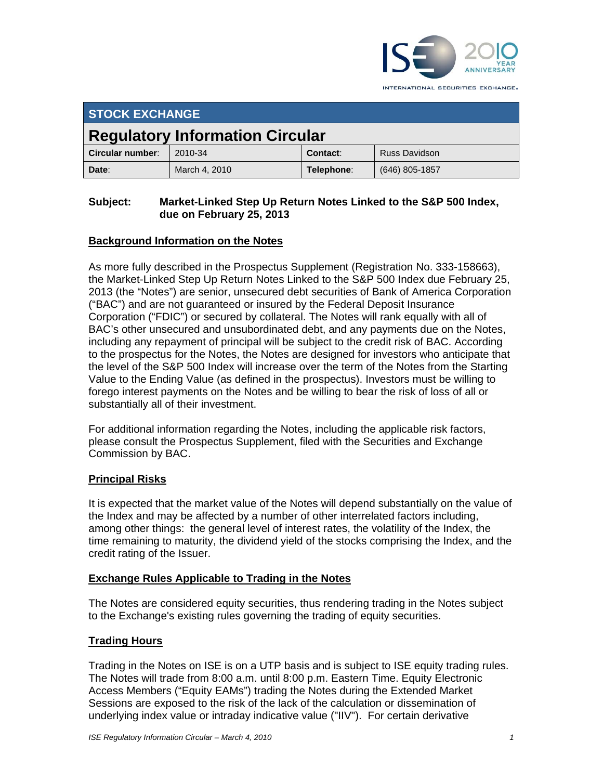

INTERNATIONAL SECURITIES EXCHANGE.

| <b>STOCK EXCHANGE</b>                  |               |            |                      |
|----------------------------------------|---------------|------------|----------------------|
| <b>Regulatory Information Circular</b> |               |            |                      |
| Circular number:                       | 2010-34       | Contact:   | <b>Russ Davidson</b> |
| Date:                                  | March 4, 2010 | Telephone: | $(646)$ 805-1857     |

#### **Subject: Market-Linked Step Up Return Notes Linked to the S&P 500 Index, due on February 25, 2013**

## **Background Information on the Notes**

As more fully described in the Prospectus Supplement (Registration No. 333-158663), the Market-Linked Step Up Return Notes Linked to the S&P 500 Index due February 25, 2013 (the "Notes") are senior, unsecured debt securities of Bank of America Corporation ("BAC") and are not guaranteed or insured by the Federal Deposit Insurance Corporation ("FDIC") or secured by collateral. The Notes will rank equally with all of BAC's other unsecured and unsubordinated debt, and any payments due on the Notes, including any repayment of principal will be subject to the credit risk of BAC. According to the prospectus for the Notes, the Notes are designed for investors who anticipate that the level of the S&P 500 Index will increase over the term of the Notes from the Starting Value to the Ending Value (as defined in the prospectus). Investors must be willing to forego interest payments on the Notes and be willing to bear the risk of loss of all or substantially all of their investment.

For additional information regarding the Notes, including the applicable risk factors, please consult the Prospectus Supplement, filed with the Securities and Exchange Commission by BAC.

#### **Principal Risks**

It is expected that the market value of the Notes will depend substantially on the value of the Index and may be affected by a number of other interrelated factors including, among other things: the general level of interest rates, the volatility of the Index, the time remaining to maturity, the dividend yield of the stocks comprising the Index, and the credit rating of the Issuer.

#### **Exchange Rules Applicable to Trading in the Notes**

The Notes are considered equity securities, thus rendering trading in the Notes subject to the Exchange's existing rules governing the trading of equity securities.

#### **Trading Hours**

Trading in the Notes on ISE is on a UTP basis and is subject to ISE equity trading rules. The Notes will trade from 8:00 a.m. until 8:00 p.m. Eastern Time. Equity Electronic Access Members ("Equity EAMs") trading the Notes during the Extended Market Sessions are exposed to the risk of the lack of the calculation or dissemination of underlying index value or intraday indicative value ("IIV"). For certain derivative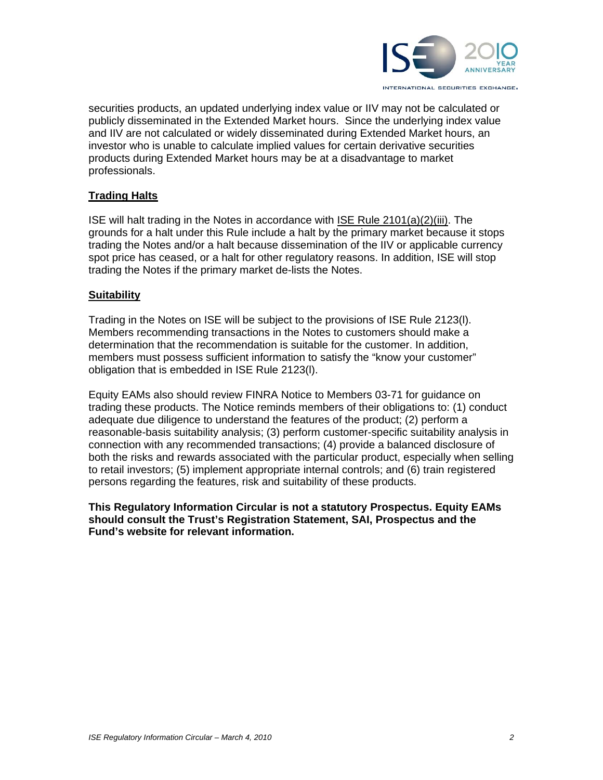

securities products, an updated underlying index value or IIV may not be calculated or publicly disseminated in the Extended Market hours. Since the underlying index value and IIV are not calculated or widely disseminated during Extended Market hours, an investor who is unable to calculate implied values for certain derivative securities products during Extended Market hours may be at a disadvantage to market professionals.

#### **Trading Halts**

ISE will halt trading in the Notes in accordance with ISE Rule 2101(a)(2)(iii). The grounds for a halt under this Rule include a halt by the primary market because it stops trading the Notes and/or a halt because dissemination of the IIV or applicable currency spot price has ceased, or a halt for other regulatory reasons. In addition, ISE will stop trading the Notes if the primary market de-lists the Notes.

#### **Suitability**

Trading in the Notes on ISE will be subject to the provisions of ISE Rule 2123(l). Members recommending transactions in the Notes to customers should make a determination that the recommendation is suitable for the customer. In addition, members must possess sufficient information to satisfy the "know your customer" obligation that is embedded in ISE Rule 2123(l).

Equity EAMs also should review FINRA Notice to Members 03-71 for guidance on trading these products. The Notice reminds members of their obligations to: (1) conduct adequate due diligence to understand the features of the product; (2) perform a reasonable-basis suitability analysis; (3) perform customer-specific suitability analysis in connection with any recommended transactions; (4) provide a balanced disclosure of both the risks and rewards associated with the particular product, especially when selling to retail investors; (5) implement appropriate internal controls; and (6) train registered persons regarding the features, risk and suitability of these products.

**This Regulatory Information Circular is not a statutory Prospectus. Equity EAMs should consult the Trust's Registration Statement, SAI, Prospectus and the Fund's website for relevant information.**